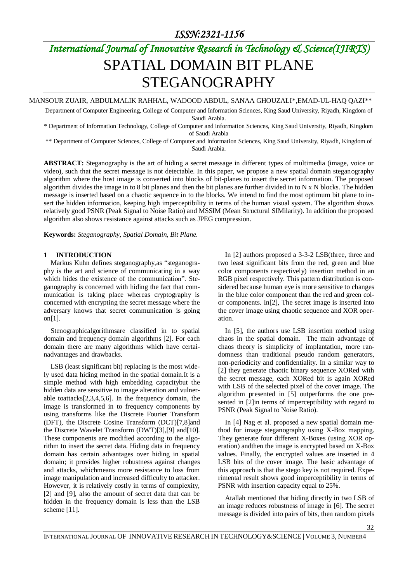# *International Journal of Innovative Research in Technology & Science(IJIRTS)* SPATIAL DOMAIN BIT PLANE STEGANOGRAPHY

MANSOUR ZUAIR, ABDULMALIK RAHHAL, WADOOD ABDUL, SANAA GHOUZALI\*,EMAD-UL-HAQ QAZI\*\*

Department of Computer Engineering, College of Computer and Information Sciences, King Saud University, Riyadh, Kingdom of Saudi Arabia.

\* Department of Information Technology, College of Computer and Information Sciences, King Saud University, Riyadh, Kingdom of Saudi Arabia

\*\* Department of Computer Sciences, College of Computer and Information Sciences, King Saud University, Riyadh, Kingdom of Saudi Arabia.

**ABSTRACT:** Steganography is the art of hiding a secret message in different types of multimedia (image, voice or video), such that the secret message is not detectable. In this paper, we propose a new spatial domain steganography algorithm where the host image is converted into blocks of bit-planes to insert the secret information. The proposed algorithm divides the image in to 8 bit planes and then the bit planes are further divided in to  $N \times N$  blocks. The hidden message is inserted based on a chaotic sequence in to the blocks. We intend to find the most optimum bit plane to insert the hidden information, keeping high imperceptibility in terms of the human visual system. The algorithm shows relatively good PSNR (Peak Signal to Noise Ratio) and MSSIM (Mean Structural SIMilarity). In addition the proposed algorithm also shows resistance against attacks such as JPEG compression.

**Keywords:** *Steganography, Spatial Domain, Bit Plane.*

#### **1 INTRODUCTION**

Markus Kuhn defines steganography,as "steganography is the art and science of communicating in a way which hides the existence of the communication". Steganography is concerned with hiding the fact that communication is taking place whereas cryptography is concerned with encrypting the secret message where the adversary knows that secret communication is going on[1].

Stenographicalgorithmsare classified in to spatial domain and frequency domain algorithms [2]. For each domain there are many algorithms which have certainadvantages and drawbacks.

LSB (least significant bit) replacing is the most widely used data hiding method in the spatial domain.It is a simple method with high embedding capacitybut the hidden data are sensitive to image alteration and vulnerable toattacks[2,3,4,5,6]. In the frequency domain, the image is transformed in to frequency components by using transforms like the Discrete Fourier Transform (DFT), the Discrete Cosine Transform (DCT)[7,8]and the Discrete Wavelet Transform (DWT)[3],[9] and[10]. These components are modified according to the algorithm to insert the secret data. Hiding data in frequency domain has certain advantages over hiding in spatial domain; it provides higher robustness against changes and attacks, whichmeans more resistance to loss from image manipulation and increased difficulty to attacker. However, it is relatively costly in terms of complexity, [2] and [9], also the amount of secret data that can be hidden in the frequency domain is less than the LSB scheme [11].

In [2] authors proposed a 3-3-2 LSB(three, three and two least significant bits from the red, green and blue color components respectively) insertion method in an RGB pixel respectively. This pattern distribution is considered because human eye is more sensitive to changes in the blue color component than the red and green color components. In[2], The secret image is inserted into the cover image using chaotic sequence and XOR operation.

In [5], the authors use LSB insertion method using chaos in the spatial domain. The main advantage of chaos theory is simplicity of implantation, more randomness than traditional pseudo random generators, non-periodicity and confidentiality. In a similar way to [2] they generate chaotic binary sequence XORed with the secret message, each XORed bit is again XORed with LSB of the selected pixel of the cover image. The algorithm presented in [5] outperforms the one presented in [2]in terms of imperceptibility with regard to PSNR (Peak Signal to Noise Ratio).

In [4] Nag et al. proposed a new spatial domain method for image steganography using X-Box mapping. They generate four different X-Boxes (using XOR operation) andthen the image is encrypted based on X-Box values. Finally, the encrypted values are inserted in 4 LSB bits of the cover image. The basic advantage of this approach is that the stego key is not required. Experimental result shows good imperceptibility in terms of PSNR with insertion capacity equal to 25%.

Atallah mentioned that hiding directly in two LSB of an image reduces robustness of image in [6]. The secret message is divided into pairs of bits, then random pixels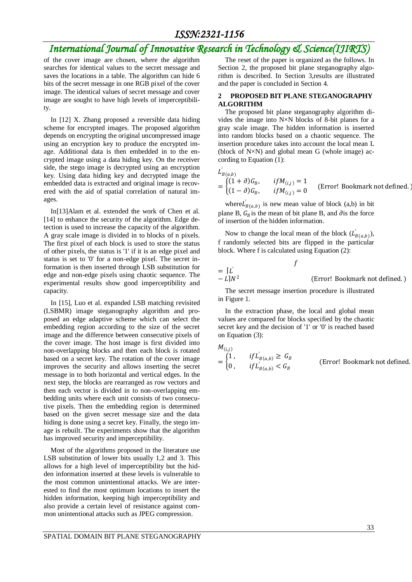### *International Journal of Innovative Research in Technology & Science(IJIRTS)*

of the cover image are chosen, where the algorithm searches for identical values to the secret message and saves the locations in a table. The algorithm can hide 6 bits of the secret message in one RGB pixel of the cover image. The identical values of secret message and cover image are sought to have high levels of imperceptibility.

In [12] X. Zhang proposed a reversible data hiding scheme for encrypted images. The proposed algorithm depends on encrypting the original uncompressed image using an encryption key to produce the encrypted image. Additional data is then embedded in to the encrypted image using a data hiding key. On the receiver side, the stego image is decrypted using an encryption key. Using data hiding key and decrypted image the embedded data is extracted and original image is recovered with the aid of spatial correlation of natural images.

In[13]Alam et al. extended the work of Chen et al. [14] to enhance the security of the algorithm. Edge detection is used to increase the capacity of the algorithm. A gray scale image is divided in to blocks of n pixels. The first pixel of each block is used to store the status of other pixels, the status is '1' if it is an edge pixel and status is set to '0' for a non-edge pixel. The secret information is then inserted through LSB substitution for edge and non-edge pixels using chaotic sequence. The experimental results show good imperceptibility and capacity.

In [15], Luo et al. expanded LSB matching revisited (LSBMR) image steganography algorithm and proposed an edge adaptive scheme which can select the embedding region according to the size of the secret image and the difference between consecutive pixels of the cover image. The host image is first divided into non-overlapping blocks and then each block is rotated based on a secret key. The rotation of the cover image improves the security and allows inserting the secret message in to both horizontal and vertical edges. In the next step, the blocks are rearranged as row vectors and then each vector is divided in to non-overlapping embedding units where each unit consists of two consecutive pixels. Then the embedding region is determined based on the given secret message size and the data hiding is done using a secret key. Finally, the stego image is rebuilt. The experiments show that the algorithm has improved security and imperceptibility.

Most of the algorithms proposed in the literature use LSB substitution of lower bits usually 1,2 and 3. This allows for a high level of imperceptibility but the hidden information inserted at these levels is vulnerable to the most common unintentional attacks. We are interested to find the most optimum locations to insert the hidden information, keeping high imperceptibility and also provide a certain level of resistance against common unintentional attacks such as JPEG compression.

The reset of the paper is organized as the follows. In Section 2, the proposed bit plane steganography algorithm is described. In Section 3,results are illustrated and the paper is concluded in Section 4.

#### **2 PROPOSED BIT PLANE STEGANOGRAPHY ALGORITHM**

The proposed bit plane steganography algorithm divides the image into N×N blocks of 8-bit planes for a gray scale image. The hidden information is inserted into random blocks based on a chaotic sequence. The insertion procedure takes into account the local mean L (block of  $N \times N$ ) and global mean G (whole image) according to Equation (1):

 $L'_{B(a,b)}$ 

$$
= \begin{cases} (1+\partial)G_B, & if M_{(i,j)} = 1 \\ (1-\partial)G_B, & if M_{(i,j)} = 0 \end{cases}
$$
 (Error! Bookmark not defined.)

where  $L'_{B(a,b)}$  is new mean value of block (a,b) in bit plane B,  $G_R$  is the mean of bit plane B, and  $\partial$  is the force of insertion of the hidden information.

Now to change the local mean of the block  $(L'_{B(a,b)})$ , f randomly selected bits are flipped in the particular block. Where f is calculated using Equation (2):

 $\mathbf f$ 

 $=$   $\lceil L \rceil$  $-L$ ] $N^2$ 

The secret message insertion procedure is illustrated in Figure 1.

(Error! Bookmark not defined. )

In the extraction phase, the local and global mean values are compared for blocks specified by the chaotic secret key and the decision of '1' or '0' is reached based on Equation (3):

$$
M_{(i,j)} = \begin{cases} 1, & if L'_{B(a,b)} \ge G_B \\ 0, & if L'_{B(a,b)} < G_B \end{cases}
$$
 (Error! Bookmark not defined.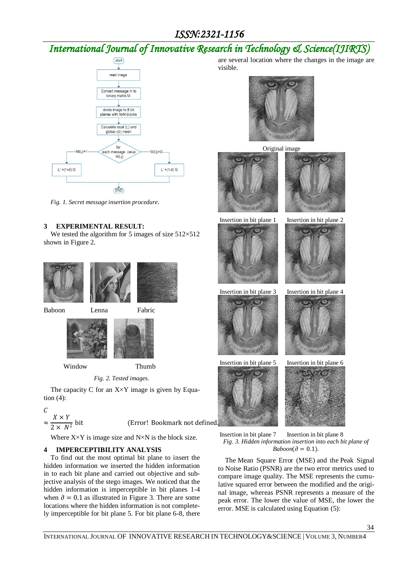# *International Journal of Innovative Research in Technology & Science(IJIRTS)*



*Fig. 1. Secret message insertion procedure*.

### **3 EXPERIMENTAL RESULT:**

We tested the algorithm for 5 images of size  $512\times512$ shown in Figure 2.







Window Thumb

*Fig. 2. Tested images.*

The capacity C for an  $X \times Y$  image is given by Equation (4):

$$
\frac{C}{\approx} \frac{X \times Y}{2 \times N^2}
$$

(Error! Bookmark not defined

Where  $X \times Y$  is image size and  $N \times N$  is the block size.

### **4 IMPERCEPTIBILITY ANALYSIS**

To find out the most optimal bit plane to insert the hidden information we inserted the hidden information in to each bit plane and carried out objective and subjective analysis of the stego images. We noticed that the hidden information is imperceptible in bit planes 1-4 when  $\partial = 0.1$  as illustrated in Figure 3. There are some locations where the hidden information is not completely imperceptible for bit plane 5. For bit plane 6-8, there are several location where the changes in the image are visible.



Original image







Insertion in bit plane 3 Insertion in bit plane 4







Insertion in bit plane 7 Insertion in bit plane 8 *Fig. 3. Hidden information insertion into each bit plane of*   $Baboon(\partial = 0.1)$ *.* 

The Mean Square Error (MSE) and the Peak Signal to Noise Ratio (PSNR) are the two error metrics used to compare image quality. The MSE represents the cumulative squared error between the modified and the original image, whereas PSNR represents a measure of the peak error. The lower the value of MSE, the lower the error. MSE is calculated using Equation (5):

34

INTERNATIONAL JOURNAL OF INNOVATIVE RESEARCH IN TECHNOLOGY&SCIENCE | VOLUME 3, NUMBER4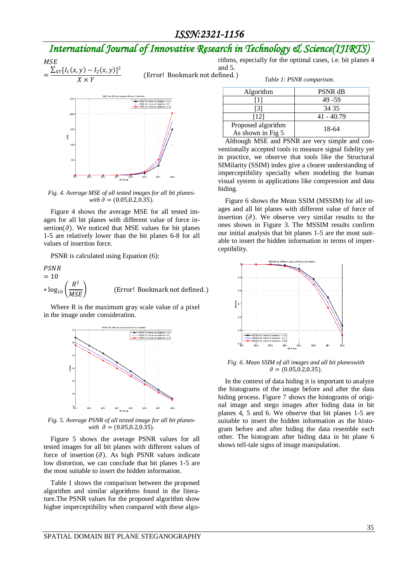## *International Journal of Innovative Research in Technology & Science(IJIRTS)*

**MSE**  $= \frac{\sum_{XY} [I_1(x, y) - I_2(x, y)]}{Y_1 + Y_2}$ 2  $X \times Y$ 

(Error! Bookmark not defined. ) rithms, especially for the optimal cases, i.e. bit planes 4 and 5.



*Fig. 4. Average MSE of all tested images for all bit planeswith*  $\ddot{\theta} = (0.05, 0.2, 0.35)$ .

Figure 4 shows the average MSE for all tested images for all bit planes with different value of force insertion( $\partial$ ). We noticed that MSE values for bit planes 1-5 are relatively lower than the bit planes 6-8 for all values of insertion force.

PSNR is calculated using Equation (6):

$$
PSNR
$$
  
= 10  
\*  $log_{10} \left( \frac{R^2}{MSE} \right)$  (Error! Bookmark not defined.)

Where R is the maximum gray scale value of a pixel in the image under consideration.



*Fig. 5. Average PSNR of all tested image for all bit planeswith*  $\partial = (0.05, 0.2, 0.35)$ .

Figure 5 shows the average PSNR values for all tested images for all bit planes with different values of force of insertion  $(\partial)$ . As high PSNR values indicate low distortion, we can conclude that bit planes 1-5 are the most suitable to insert the hidden information.

Table 1 shows the comparison between the proposed algorithm and similar algorithms found in the literature.The PSNR values for the proposed algorithm show higher imperceptibility when compared with these algo*Table 1: PSNR comparison.*

| Algorithm                               | <b>PSNR dB</b> |
|-----------------------------------------|----------------|
|                                         | 49 - 59        |
|                                         | 34 35          |
| [12]                                    | $41 - 40.79$   |
| Proposed algorithm<br>As shown in Fig 5 | 18-64          |

Although MSE and PSNR are very simple and conventionally accepted tools to measure signal fidelity yet in practice, we observe that tools like the Structural SIMilarity (SSIM) index give a clearer understanding of imperceptibility specially when modeling the human visual system in applications like compression and data hiding.

Figure 6 shows the Mean SSIM (MSSIM) for all images and all bit planes with different value of force of insertion  $\left(\partial\right)$ . We observe very similar results to the ones shown in Figure 3. The MSSIM results confirm our initial analysis that bit planes 1-5 are the most suitable to insert the hidden information in terms of imperceptibility.



*Fig. 6. Mean SSIM of all images and all bit planeswith*   $\partial = (0.05, 0.2, 0.35)$ .

In the context of data hiding it is important to analyze the histograms of the image before and after the data hiding process. Figure 7 shows the histograms of original image and stego images after hiding data in bit planes 4, 5 and 6. We observe that bit planes 1-5 are suitable to insert the hidden information as the histogram before and after hiding the data resemble each other. The histogram after hiding data in bit plane 6 shows tell-tale signs of image manipulation.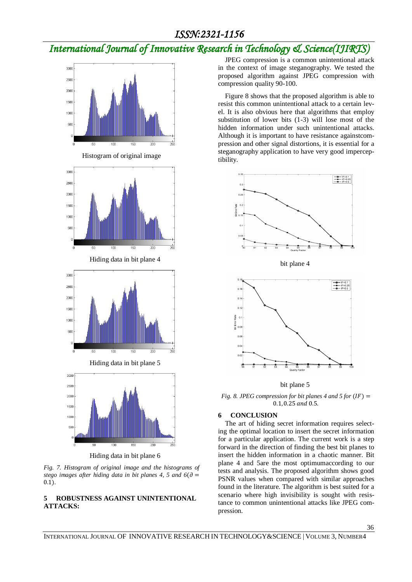# *International Journal of Innovative Research in Technology & Science(IJIRTS)*



Histogram of original image



Hiding data in bit plane 4



Hiding data in bit plane 5



Hiding data in bit plane 6

*Fig. 7. Histogram of original image and the histograms of stego images* after hiding data in bit planes 4, 5 and  $6(\partial =$ 0.1)*.*

### **5 ROBUSTNESS AGAINST UNINTENTIONAL ATTACKS:**

JPEG compression is a common unintentional attack in the context of image steganography. We tested the proposed algorithm against JPEG compression with compression quality 90-100.

Figure 8 shows that the proposed algorithm is able to resist this common unintentional attack to a certain level. It is also obvious here that algorithms that employ substitution of lower bits (1-3) will lose most of the hidden information under such unintentional attacks. Although it is important to have resistance againstcompression and other signal distortions, it is essential for a steganography application to have very good imperceptibility.



bit plane 4



bit plane 5

*Fig. 8. JPEG compression for bit planes 4 and 5 for*  $(IF)$  *=* 0.1, 0.25 and 0.5.

#### **6 CONCLUSION**

The art of hiding secret information requires selecting the optimal location to insert the secret information for a particular application. The current work is a step forward in the direction of finding the best bit planes to insert the hidden information in a chaotic manner. Bit plane 4 and 5are the most optimumaccording to our tests and analysis. The proposed algorithm shows good PSNR values when compared with similar approaches found in the literature. The algorithm is best suited for a scenario where high invisibility is sought with resistance to common unintentional attacks like JPEG compression.

36